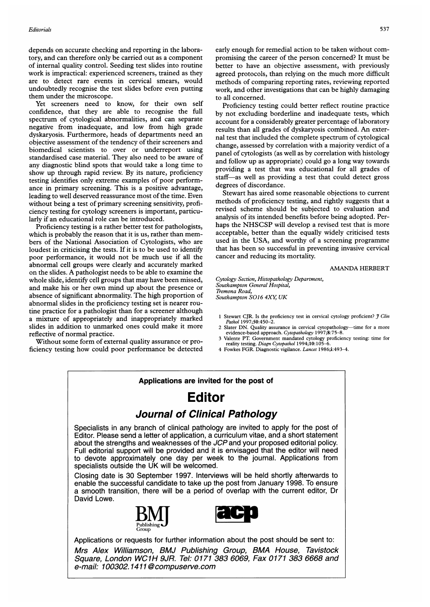depends on accurate checking and reporting in the laboratory, and can therefore only be carried out as a component of internal quality control. Seeding test slides into routine work is impractical: experienced screeners, trained as they are to detect rare events in cervical smears, would undoubtedly recognise the test slides before even putting them under the microscope.

Yet screeners need to know, for their own self confidence, that they are able to recognise the full spectrum of cytological abnormalities, and can separate negative from inadequate, and low from high grade dyskaryosis. Furthermore, heads of departments need an objective assessment of the tendency of their screeners and biomedical scientists to over or underreport using standardised case material. They also need to be aware of any diagnostic blind spots that would take a long time to show up through rapid review. By its nature, proficiency testing identifies only extreme examples of poor performance in primary screening. This is a positive advantage, leading to well deserved reassurance most of the time. Even without being a test of primary screening sensitivity, proficiency testing for cytology screeners is important, particularly if an educational role can be introduced.

Proficiency testing is a rather better test for pathologists, which is probably the reason that it is us, rather than members of the National Association of Cytologists, who are loudest in criticising the tests. If it is to be used to identify poor performance, it would not be much use if all the abnormal cell groups were clearly and accurately marked on the slides. A pathologist needs to be able to examine the whole slide, identify cell groups that may have been missed, and make his or her own mind up about the presence or absence of significant abnormality. The high proportion of abnormal slides in the proficiency testing set is nearer routine practice for a pathologist than for a screener although a mixture of appropriately and inappropriately marked slides in addition to unmarked ones could make it more reflective of normal practice.

Without some form of external quality assurance or proficiency testing how could poor performance be detected early enough for remedial action to be taken without compromising the career of the person concerned? It must be better to have an objective assessment, with previously agreed protocols, than relying on the much more difficult methods of comparing reporting rates, reviewing reported work, and other investigations that can be highly damaging to all concerned.

Proficiency testing could better reflect routine practice by not excluding borderline and inadequate tests, which account for a considerably greater percentage of laboratory results than all grades of dyskaryosis combined. An external test that included the complete spectrum of cytological change, assessed by correlation with a majority verdict of a panel of cytologists (as well as by correlation with histology and follow up as appropriate) could go a long way towards providing a test that was educational for all grades of staff-as well as providing a test that could detect gross degrees of discordance.

Stewart has aired some reasonable objections to current methods of proficiency testing, and rightly suggests that a revised scheme should be subjected to evaluation and analysis of its intended benefits before being adopted. Perhaps the NHSCSP will develop <sup>a</sup> revised test that is more acceptable, better than the equally widely criticised tests used in the USA, and worthy of a screening programme that has been so successful in preventing invasive cervical cancer and reducing its mortality.

### AMANDA HERBERT

Cytology Section, Histopathology Department, Southampton General Hospital, Tremona Road, Southampton SO16 4XY, UK

- 1 Stewart CJR. Is the proficiency test in cervical cytology proficient? *J Clin Pathol* 1997;50:450–2.
- Slater DN. Quality assurance in cervical cytopathology-time for a more evidence-based approach. Cytopathology 1997;8:75-8.
- 3 Valente PT. Government mandated cytology proficiency testing: time for reality testing. Diagn Cytopathol 1994;10:105-6.
- 4 Fowkes FGR. Diagnostic vigilance. Lancet 1986;i:493-4.